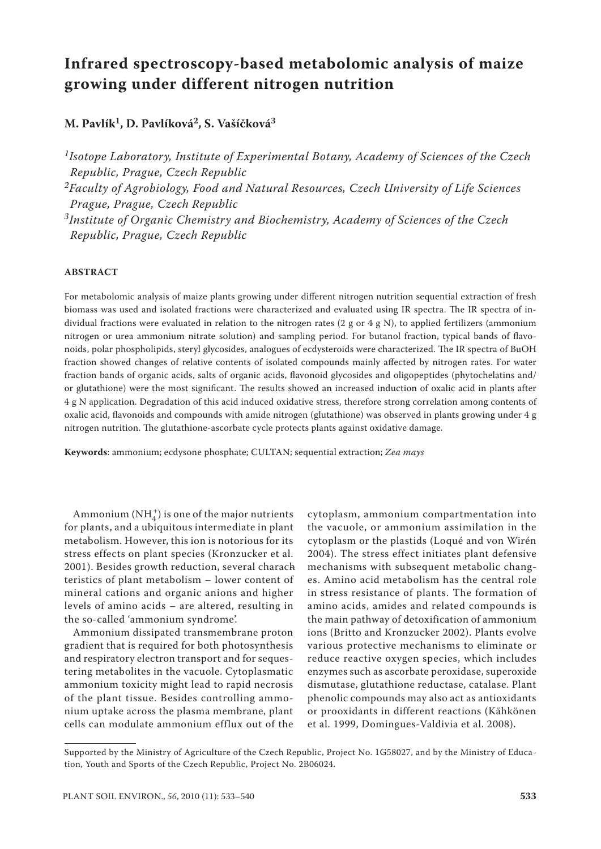# **Infrared spectroscopy-based metabolomic analysis of maize growing under different nitrogen nutrition**

**M. Pavlík1, D. Pavlíková2, S. Vašíčková3**

*1Isotope Laboratory, Institute of Experimental Botany, Academy of Sciences of the Czech Republic, Prague, Czech Republic*

*2Faculty of Agrobiology, Food and Natural Resources, Czech University of Life Sciences Prague, Prague, Czech Republic*

*3Institute of Organic Chemistry and Biochemistry, Academy of Sciences of the Czech Republic, Prague, Czech Republic*

## **ABSTRACT**

For metabolomic analysis of maize plants growing under different nitrogen nutrition sequential extraction of fresh biomass was used and isolated fractions were characterized and evaluated using IR spectra. The IR spectra of individual fractions were evaluated in relation to the nitrogen rates (2 g or 4 g N), to applied fertilizers (ammonium nitrogen or urea ammonium nitrate solution) and sampling period. For butanol fraction, typical bands of flavonoids, polar phospholipids, steryl glycosides, analogues of ecdysteroids were characterized. The IR spectra of BuOH fraction showed changes of relative contents of isolated compounds mainly affected by nitrogen rates. For water fraction bands of organic acids, salts of organic acids, flavonoid glycosides and oligopeptides (phytochelatins and/ or glutathione) were the most significant. The results showed an increased induction of oxalic acid in plants after 4 g N application. Degradation of this acid induced oxidative stress, therefore strong correlation among contents of oxalic acid, flavonoids and compounds with amide nitrogen (glutathione) was observed in plants growing under 4 g nitrogen nutrition. The glutathione-ascorbate cycle protects plants against oxidative damage.

**Keywords**: ammonium; ecdysone phosphate; CULTAN; sequential extraction; *Zea mays*

Ammonium  $(NH_4^+)$  is one of the major nutrients for plants, and a ubiquitous intermediate in plant metabolism. However, this ion is notorious for its stress effects on plant species (Kronzucker et al. 2001). Besides growth reduction, several charach teristics of plant metabolism – lower content of mineral cations and organic anions and higher levels of amino acids – are altered, resulting in the so-called 'ammonium syndrome'.

Ammonium dissipated transmembrane proton gradient that is required for both photosynthesis and respiratory electron transport and for sequestering metabolites in the vacuole. Cytoplasmatic ammonium toxicity might lead to rapid necrosis of the plant tissue. Besides controlling ammonium uptake across the plasma membrane, plant cells can modulate ammonium efflux out of the

cytoplasm, ammonium compartmentation into the vacuole, or ammonium assimilation in the cytoplasm or the plastids (Loqué and von Wirén 2004). The stress effect initiates plant defensive mechanisms with subsequent metabolic changes. Amino acid metabolism has the central role in stress resistance of plants. The formation of amino acids, amides and related compounds is the main pathway of detoxification of ammonium ions (Britto and Kronzucker 2002). Plants evolve various protective mechanisms to eliminate or reduce reactive oxygen species, which includes enzymes such as ascorbate peroxidase, superoxide dismutase, glutathione reductase, catalase. Plant phenolic compounds may also act as antioxidants or prooxidants in different reactions (Kähkönen et al. 1999, Domingues-Valdivia et al. 2008).

Supported by the Ministry of Agriculture of the Czech Republic, Project No. 1G58027, and by the Ministry of Education, Youth and Sports of the Czech Republic, Project No. 2B06024.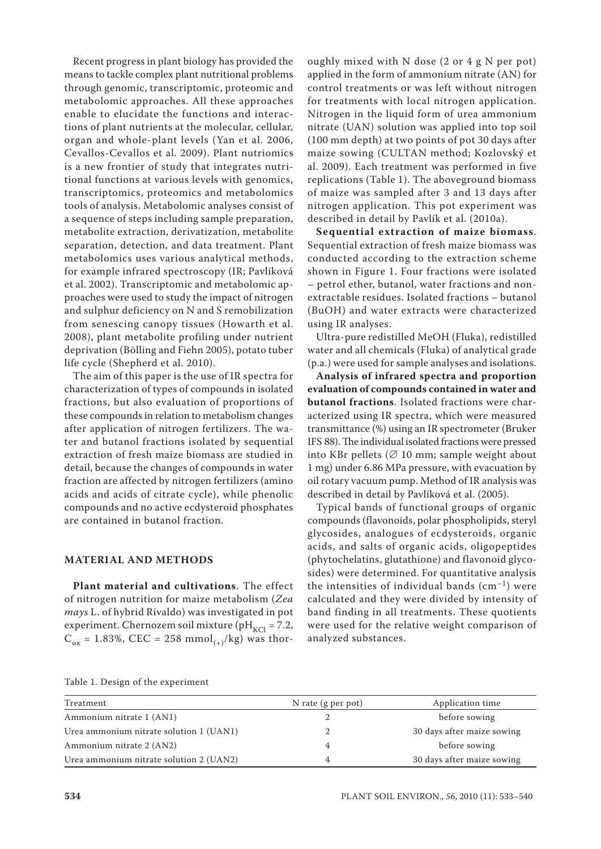Recent progress in plant biology has provided the means to tackle complex plant nutritional problems through genomic, transcriptomic, proteomic and metabolomic approaches. All these approaches enable to elucidate the functions and interactions of plant nutrients at the molecular, cellular, organ and whole-plant levels (Yan et al. 2006, Cevallos-Cevallos et al. 2009). Plant nutriomics is a new frontier of study that integrates nutritional functions at various levels with genomics, transcriptomics, proteomics and metabolomics tools of analysis. Metabolomic analyses consist of a sequence of steps including sample preparation, metabolite extraction, derivatization, metabolite separation, detection, and data treatment. Plant metabolomics uses various analytical methods, for example infrared spectroscopy (IR; Pavlíková et al. 2002). Transcriptomic and metabolomic approaches were used to study the impact of nitrogen and sulphur deficiency on N and S remobilization from senescing canopy tissues (Howarth et al. 2008), plant metabolite profiling under nutrient deprivation (Bölling and Fiehn 2005), potato tuber life cycle (Shepherd et al. 2010).

The aim of this paper is the use of IR spectra for characterization of types of compounds in isolated fractions, but also evaluation of proportions of these compounds in relation to metabolism changes after application of nitrogen fertilizers. The water and butanol fractions isolated by sequential extraction of fresh maize biomass are studied in detail, because the changes of compounds in water fraction are affected by nitrogen fertilizers (amino acids and acids of citrate cycle), while phenolic compounds and no active ecdysteroid phosphates are contained in butanol fraction.

### **MATERIAL AND METHODS**

**Plant material and cultivations**. The effect of nitrogen nutrition for maize metabolism (*Zea mays* L. of hybrid Rivaldo) was investigated in pot experiment. Chernozem soil mixture (pH<sub>KCl</sub> = 7.2,  $C_{ox} = 1.83\%$ , CEC = 258 mmol<sub>(+)</sub>/kg) was thor-

oughly mixed with N dose (2 or 4 g N per pot) applied in the form of ammonium nitrate (AN) for control treatments or was left without nitrogen for treatments with local nitrogen application. Nitrogen in the liquid form of urea ammonium nitrate (UAN) solution was applied into top soil (100 mm depth) at two points of pot 30 days after maize sowing (CULTAN method; Kozlovský et al. 2009). Each treatment was performed in five replications (Table 1). The aboveground biomass of maize was sampled after 3 and 13 days after nitrogen application. This pot experiment was described in detail by Pavlík et al. (2010a).

**Sequential extraction of maize biomass**. Sequential extraction of fresh maize biomass was conducted according to the extraction scheme shown in Figure 1. Four fractions were isolated – petrol ether, butanol, water fractions and nonextractable residues. Isolated fractions – butanol (BuOH) and water extracts were characterized using IR analyses.

Ultra-pure redistilled MeOH (Fluka), redistilled water and all chemicals (Fluka) of analytical grade (p.a.) were used for sample analyses and isolations.

**Analysis of infrared spectra and proportion evaluation of compounds contained in water and butanol fractions**. Isolated fractions were characterized using IR spectra, which were measured transmittance (%) using an IR spectrometer (Bruker IFS 88). The individual isolated fractions were pressed into KBr pellets ( $\varnothing$  10 mm; sample weight about 1 mg) under 6.86 MPa pressure, with evacuation by oil rotary vacuum pump. Method of IR analysis was described in detail by Pavlíková et al. (2005).

Typical bands of functional groups of organic compounds (flavonoids, polar phospholipids, steryl glycosides, analogues of ecdysteroids, organic acids, and salts of organic acids, oligopeptides (phytochelatins, glutathione) and flavonoid glycosides) were determined. For quantitative analysis the intensities of individual bands  $(cm<sup>-1</sup>)$  were calculated and they were divided by intensity of band finding in all treatments. These quotients were used for the relative weight comparison of analyzed substances.

| Table 1. Design of the experiment |  |
|-----------------------------------|--|
|-----------------------------------|--|

| Treatment                               | N rate (g per pot) | Application time           |
|-----------------------------------------|--------------------|----------------------------|
| Ammonium nitrate 1 (AN1)                |                    | before sowing              |
| Urea ammonium nitrate solution 1 (UAN1) |                    | 30 days after maize sowing |
| Ammonium nitrate 2 (AN2)                | 4                  | before sowing              |
| Urea ammonium nitrate solution 2 (UAN2) | 4                  | 30 days after maize sowing |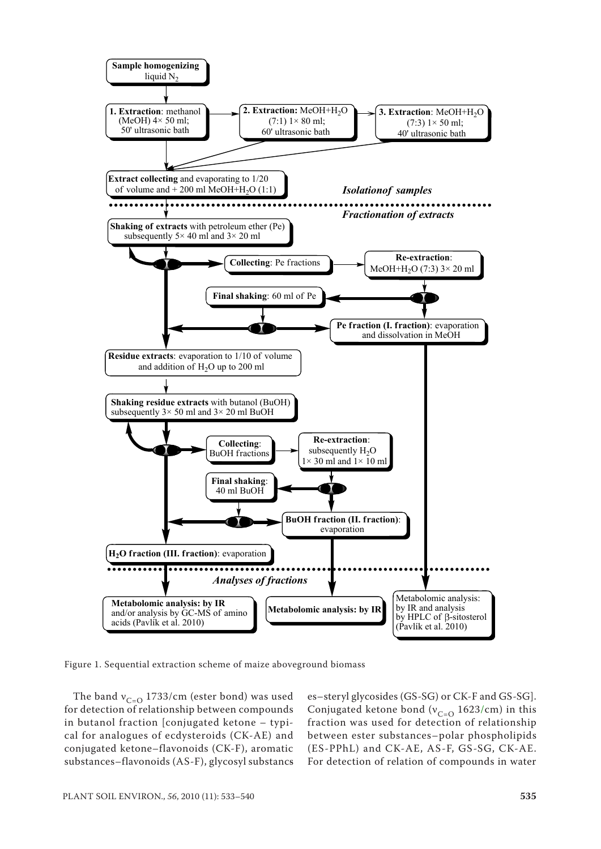

Figure 1. Sequential extraction scheme of maize aboveground biomass

The band  $v_{C=O}$  1733/cm (ester bond) was used for detection of relationship between compounds in butanol fraction [conjugated ketone – typical for analogues of ecdysteroids (CK-AE) and conjugated ketone–flavonoids (CK-F), aromatic substances–flavonoids (AS-F), glycosyl substancses–steryl glycosides (GS-SG) or CK-F and GS-SG]. Conjugated ketone bond ( $v_{C=O}$  1623/cm) in this fraction was used for detection of relationship between ester substances–polar phospholipids (ES-PPhL) and CK-AE, AS-F, GS-SG, CK-AE. For detection of relation of compounds in water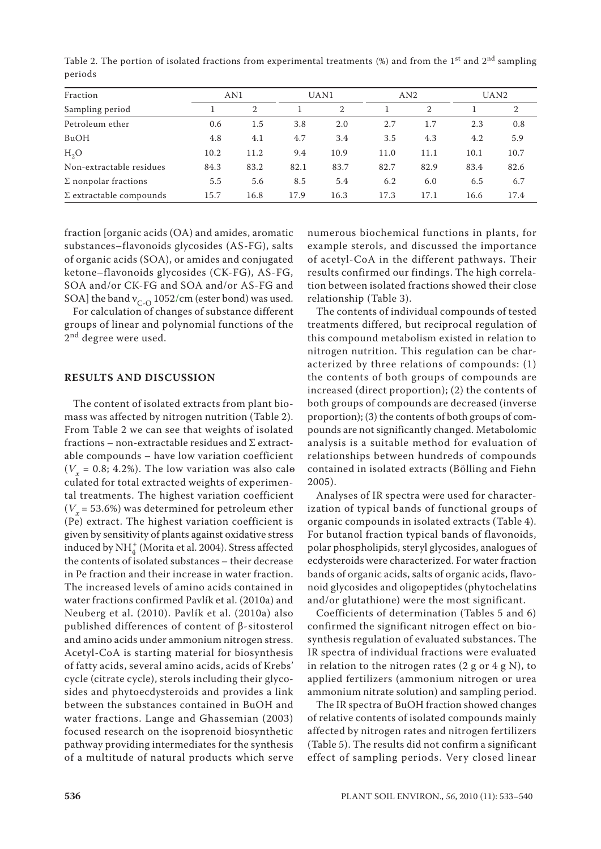| Fraction                       |      | AN1  |      | UAN1 |      | AN2  |      | UAN <sub>2</sub> |
|--------------------------------|------|------|------|------|------|------|------|------------------|
| Sampling period                |      | 2    |      | 2    |      |      |      | 2                |
| Petroleum ether                | 0.6  | 1.5  | 3.8  | 2.0  | 2.7  | 1.7  | 2.3  | 0.8              |
| <b>BuOH</b>                    | 4.8  | 4.1  | 4.7  | 3.4  | 3.5  | 4.3  | 4.2  | 5.9              |
| $H_2O$                         | 10.2 | 11.2 | 9.4  | 10.9 | 11.0 | 11.1 | 10.1 | 10.7             |
| Non-extractable residues       | 84.3 | 83.2 | 82.1 | 83.7 | 82.7 | 82.9 | 83.4 | 82.6             |
| $\Sigma$ nonpolar fractions    | 5.5  | 5.6  | 8.5  | 5.4  | 6.2  | 6.0  | 6.5  | 6.7              |
| $\Sigma$ extractable compounds | 15.7 | 16.8 | 17.9 | 16.3 | 17.3 | 17.1 | 16.6 | 17.4             |

Table 2. The portion of isolated fractions from experimental treatments (%) and from the 1<sup>st</sup> and 2<sup>nd</sup> sampling periods

fraction [organic acids (OA) and amides, aromatic substances–flavonoids glycosides (AS-FG), salts of organic acids (SOA), or amides and conjugated ketone–flavonoids glycosides (CK-FG), AS-FG, SOA and/or CK-FG and SOA and/or AS-FG and SOA] the band  $v_{C-O}$  1052/cm (ester bond) was used.

For calculation of changes of substance different groups of linear and polynomial functions of the 2<sup>nd</sup> degree were used.

## **RESULTS AND DISCUSSION**

The content of isolated extracts from plant biomass was affected by nitrogen nutrition (Table 2). From Table 2 we can see that weights of isolated fractions – non-extractable residues and  $\Sigma$  extractable compounds – have low variation coefficient  $(V<sub>x</sub> = 0.8; 4.2$ %). The low variation was also cale culated for total extracted weights of experimental treatments. The highest variation coefficient  $(V<sub>x</sub> = 53.6%)$  was determined for petroleum ether (Pe) extract. The highest variation coefficient is given by sensitivity of plants against oxidative stress induced by  $NH<sub>4</sub><sup>+</sup>$  (Morita et al. 2004). Stress affected the contents of isolated substances – their decrease in Pe fraction and their increase in water fraction. The increased levels of amino acids contained in water fractions confirmed Pavlík et al. (2010a) and Neuberg et al. (2010). Pavlík et al. (2010a) also published differences of content of β-sitosterol and amino acids under ammonium nitrogen stress. Acetyl-CoA is starting material for biosynthesis of fatty acids, several amino acids, acids of Krebs' cycle (citrate cycle), sterols including their glycosides and phytoecdysteroids and provides a link between the substances contained in BuOH and water fractions. Lange and Ghassemian (2003) focused research on the isoprenoid biosynthetic pathway providing intermediates for the synthesis of a multitude of natural products which serve

numerous biochemical functions in plants, for example sterols, and discussed the importance of acetyl-CoA in the different pathways. Their results confirmed our findings. The high correlation between isolated fractions showed their close relationship (Table 3).

The contents of individual compounds of tested treatments differed, but reciprocal regulation of this compound metabolism existed in relation to nitrogen nutrition. This regulation can be characterized by three relations of compounds: (1) the contents of both groups of compounds are increased (direct proportion); (2) the contents of both groups of compounds are decreased (inverse proportion); (3) the contents of both groups of compounds are not significantly changed. Metabolomic analysis is a suitable method for evaluation of relationships between hundreds of compounds contained in isolated extracts (Bölling and Fiehn 2005).

Analyses of IR spectra were used for characterization of typical bands of functional groups of organic compounds in isolated extracts (Table 4). For butanol fraction typical bands of flavonoids, polar phospholipids, steryl glycosides, analogues of ecdysteroids were characterized. For water fraction bands of organic acids, salts of organic acids, flavonoid glycosides and oligopeptides (phytochelatins and/or glutathione) were the most significant.

Coefficients of determination (Tables 5 and 6) confirmed the significant nitrogen effect on biosynthesis regulation of evaluated substances. The IR spectra of individual fractions were evaluated in relation to the nitrogen rates  $(2 g or 4 g N)$ , to applied fertilizers (ammonium nitrogen or urea ammonium nitrate solution) and sampling period.

The IR spectra of BuOH fraction showed changes of relative contents of isolated compounds mainly affected by nitrogen rates and nitrogen fertilizers (Table 5). The results did not confirm a significant effect of sampling periods. Very closed linear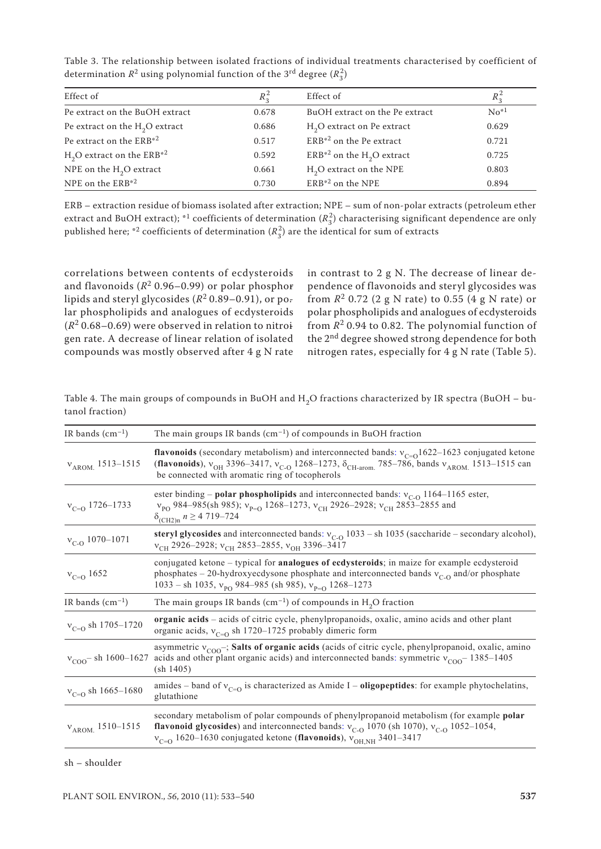Table 3. The relationship between isolated fractions of individual treatments characterised by coefficient of determination  $R^2$  using polynomial function of the 3<sup>rd</sup> degree  $(R_3^2)$ 

| Effect of                               | $R_2^2$ | Effect of                                         |        |
|-----------------------------------------|---------|---------------------------------------------------|--------|
| Pe extract on the BuOH extract          | 0.678   | BuOH extract on the Pe extract                    | $No*1$ |
| Pe extract on the $H_2O$ extract        | 0.686   | $H2O$ extract on Pe extract                       | 0.629  |
| Pe extract on the ERB <sup>*2</sup>     | 0.517   | $ERB*2$ on the Pe extract                         | 0.721  |
| $H_2O$ extract on the ERB <sup>*2</sup> | 0.592   | ERB <sup>*2</sup> on the H <sub>2</sub> O extract | 0.725  |
| NPE on the $H_2O$ extract               | 0.661   | $H2O$ extract on the NPE                          | 0.803  |
| NPE on the ERB <sup>*2</sup>            | 0.730   | $\mathrm{ERB^{*2}}$ on the NPE                    | 0.894  |

ERB – extraction residue of biomass isolated after extraction; NPE – sum of non-polar extracts (petroleum ether extract and BuOH extract); <sup>\*1</sup> coefficients of determination  $(R_3^2)$  characterising significant dependence are only published here; <sup>\*2</sup> coefficients of determination  $(R_3^2)$  are the identical for sum of extracts

correlations between contents of ecdysteroids and flavonoids  $(R^2 0.96 - 0.99)$  or polar phosphor lipids and steryl glycosides  $(R^2 0.89 - 0.91)$ , or po. lar phospholipids and analogues of ecdysteroids (*R*2 0.68–0.69) were observed in relation to nitroigen rate. A decrease of linear relation of isolated compounds was mostly observed after 4 g N rate in contrast to 2 g N. The decrease of linear dependence of flavonoids and steryl glycosides was from  $R^2$  0.72 (2 g N rate) to 0.55 (4 g N rate) or polar phospholipids and analogues of ecdysteroids from  $R^2$  0.94 to 0.82. The polynomial function of the 2nd degree showed strong dependence for both nitrogen rates, especially for 4 g N rate (Table 5).

| tanol fraction)                                                                                          |  |
|----------------------------------------------------------------------------------------------------------|--|
|                                                                                                          |  |
|                                                                                                          |  |
| -Table 4. The main groups of compounds in BuOH and H.,O fractions characterized by IR spectra (BuOH – bu |  |

| IR bands $(cm-1)$           | The main groups IR bands $(cm-1)$ of compounds in BuOH fraction                                                                                                                                                                                                                          |
|-----------------------------|------------------------------------------------------------------------------------------------------------------------------------------------------------------------------------------------------------------------------------------------------------------------------------------|
| $v_{\text{AROM}}$ 1513–1515 | <b>flavonoids</b> (secondary metabolism) and interconnected bands: $v_{C=0}$ 1622–1623 conjugated ketone<br>(flavonoids), $v_{OH}$ 3396–3417, $v_{C-O}$ 1268–1273, $\delta$ <sub>CH-arom</sub> 785–786, bands $v_{AROM}$ 1513–1515 can<br>be connected with aromatic ring of tocopherols |
| $v_{C=0}$ 1726–1733         | ester binding – polar phospholipids and interconnected bands: $v_{C_O}$ 1164–1165 ester,<br>$v_{\rm pQ}$ 984–985(sh 985); $v_{\rm p=0}$ 1268–1273, $v_{\rm CH}$ 2926–2928; $v_{\rm CH}$ 2853–2855 and<br>$\delta_{\text{(CH2)n}} n \geq 4719 - 724$                                      |
| $v_{C-O}$ 1070-1071         | steryl glycosides and interconnected bands: $v_{C_1}$ 1033 – sh 1035 (saccharide – secondary alcohol),<br>$v_{CH}$ 2926–2928; $v_{CH}$ 2853–2855, $v_{OH}$ 3396–3417                                                                                                                     |
| $v_{C=0}$ 1652              | conjugated ketone - typical for analogues of ecdysteroids; in maize for example ecdysteroid<br>phosphates – 20-hydroxyecdysone phosphate and interconnected bands $v_{C_O}$ and/or phosphate<br>1033 – sh 1035, $v_{pQ}$ 984–985 (sh 985), $v_{p=Q}$ 1268–1273                           |
| IR bands $(cm-1)$           | The main groups IR bands (cm <sup>-1</sup> ) of compounds in $H_2O$ fraction                                                                                                                                                                                                             |
| $v_{C=0}$ sh 1705-1720      | organic acids - acids of citric cycle, phenylpropanoids, oxalic, amino acids and other plant<br>organic acids, $v_{C=0}$ sh 1720–1725 probably dimeric form                                                                                                                              |
| $v_{COO}$ sh 1600-1627      | asymmetric $v_{\text{COO}}$ ; Salts of organic acids (acids of citric cycle, phenylpropanoid, oxalic, amino<br>acids and other plant organic acids) and interconnected bands: symmetric $v_{COO}$ = 1385–1405<br>(sh 1405)                                                               |
| $v_{C=0}$ sh 1665-1680      | amides – band of $v_{C=0}$ is characterized as Amide I – oligopeptides: for example phytochelatins,<br>glutathione                                                                                                                                                                       |
| $v_{\text{AROM}}$ 1510-1515 | secondary metabolism of polar compounds of phenylpropanoid metabolism (for example polar<br><b>flavonoid glycosides</b> ) and interconnected bands: $v_{C_1}$ 1070 (sh 1070), $v_{C_2}$ 1052–1054,<br>$v_{C=0}$ 1620–1630 conjugated ketone (flavonoids), $v_{OH,NH}$ 3401–3417          |

sh – shoulder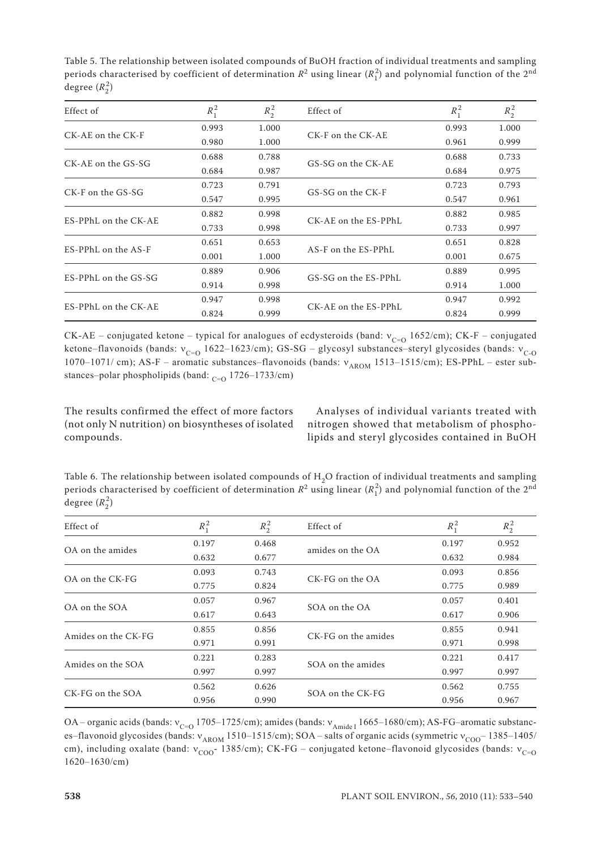Table 5. The relationship between isolated compounds of BuOH fraction of individual treatments and sampling periods characterised by coefficient of determination  $R^2$  using linear  $(R_1^2)$  and polynomial function of the 2<sup>nd</sup> degree  $(R_2^2)$ 

| Effect of            | $R_1^2$ | $R_2^2$ | Effect of                     | $R_1^2$ | $R_2^2$ |
|----------------------|---------|---------|-------------------------------|---------|---------|
|                      | 0.993   | 1.000   | $CK$ - $F$ on the $CK$ - $AE$ | 0.993   | 1.000   |
| CK-AE on the CK-F    | 0.980   | 1.000   |                               | 0.961   | 0.999   |
|                      | 0.688   | 0.788   |                               | 0.688   | 0.733   |
| CK-AE on the GS-SG   | 0.684   | 0.987   | GS-SG on the CK-AE            | 0.684   | 0.975   |
| CK-F on the GS-SG    | 0.723   | 0.791   | GS-SG on the CK-F             | 0.723   | 0.793   |
|                      | 0.547   | 0.995   |                               | 0.547   | 0.961   |
| ES-PPhL on the CK-AE | 0.882   | 0.998   | CK-AE on the ES-PPhL          | 0.882   | 0.985   |
|                      | 0.733   | 0.998   |                               | 0.733   | 0.997   |
| ES-PPhL on the AS-F  | 0.651   | 0.653   | AS-F on the ES-PPhL           | 0.651   | 0.828   |
|                      | 0.001   | 1.000   |                               | 0.001   | 0.675   |
| ES-PPhL on the GS-SG | 0.889   | 0.906   | GS-SG on the ES-PPhL          | 0.889   | 0.995   |
|                      | 0.914   | 0.998   |                               | 0.914   | 1.000   |
| ES-PPhL on the CK-AE | 0.947   | 0.998   | CK-AE on the ES-PPhL          | 0.947   | 0.992   |
|                      | 0.824   | 0.999   |                               | 0.824   | 0.999   |

CK-AE – conjugated ketone – typical for analogues of ecdysteroids (band:  $v_{C=O}$  1652/cm); CK-F – conjugated ketone–flavonoids (bands:  $v_{C=0}$  1622–1623/cm); GS-SG – glycosyl substances–steryl glycosides (bands:  $v_{C=0}$ 1070–1071/ cm); AS-F – aromatic substances–flavonoids (bands:  $v_{AROM}$  1513–1515/cm); ES-PPhL – ester substances–polar phospholipids (band:  $_{C=O}$  1726–1733/cm)

The results confirmed the effect of more factors (not only N nutrition) on biosyntheses of isolated compounds.

Analyses of individual variants treated with nitrogen showed that metabolism of phospholipids and steryl glycosides contained in BuOH

Table 6. The relationship between isolated compounds of  $H<sub>2</sub>O$  fraction of individual treatments and sampling periods characterised by coefficient of determination  $R^2$  using linear  $(R_1^2)$  and polynomial function of the 2<sup>nd</sup> degree  $(R_2^2)$ 

| Effect of           | $R_1^2$ | $R_2^2$ | Effect of           | $R_1^2$ | $R_2^2$ |
|---------------------|---------|---------|---------------------|---------|---------|
| OA on the amides    | 0.197   | 0.468   | amides on the OA    | 0.197   | 0.952   |
|                     | 0.632   | 0.677   |                     | 0.632   | 0.984   |
|                     | 0.093   | 0.743   |                     | 0.093   | 0.856   |
| OA on the CK-FG     | 0.775   | 0.824   | CK-FG on the OA     | 0.775   | 0.989   |
|                     | 0.057   | 0.967   |                     | 0.057   | 0.401   |
| OA on the SOA       | 0.617   | 0.643   | SOA on the OA       | 0.617   | 0.906   |
| Amides on the CK-FG | 0.855   | 0.856   | CK-FG on the amides | 0.855   | 0.941   |
|                     | 0.971   | 0.991   |                     | 0.971   | 0.998   |
| Amides on the SOA   | 0.221   | 0.283   | SOA on the amides   | 0.221   | 0.417   |
|                     | 0.997   | 0.997   |                     | 0.997   | 0.997   |
|                     | 0.562   | 0.626   |                     | 0.562   | 0.755   |
| CK-FG on the SOA    | 0.956   | 0.990   | SOA on the CK-FG    | 0.956   | 0.967   |

OA – organic acids (bands:  $v_{C=O}$  1705–1725/cm); amides (bands:  $v_{Amide}$  1665–1680/cm); AS-FG–aromatic substances–flavonoid glycosides (bands: ν<sub>AROM</sub> 1510–1515/cm); SOA – salts of organic acids (symmetric ν<sub>COO</sub>– 1385–1405/ cm), including oxalate (band:  $v_{COO}$ - 1385/cm); CK-FG – conjugated ketone–flavonoid glycosides (bands:  $v_{C=O}$ 1620–1630/cm)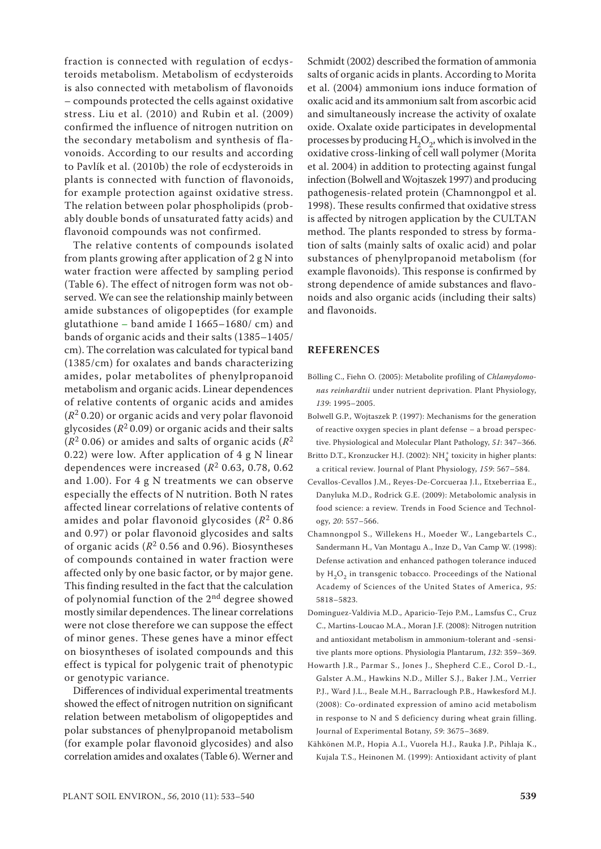fraction is connected with regulation of ecdysteroids metabolism. Metabolism of ecdysteroids is also connected with metabolism of flavonoids – compounds protected the cells against oxidative stress. Liu et al. (2010) and Rubin et al. (2009) confirmed the influence of nitrogen nutrition on the secondary metabolism and synthesis of flavonoids. According to our results and according to Pavlík et al. (2010b) the role of ecdysteroids in plants is connected with function of flavonoids, for example protection against oxidative stress. The relation between polar phospholipids (probably double bonds of unsaturated fatty acids) and flavonoid compounds was not confirmed.

The relative contents of compounds isolated from plants growing after application of 2 g N into water fraction were affected by sampling period (Table 6). The effect of nitrogen form was not observed. We can see the relationship mainly between amide substances of oligopeptides (for example glutathione – band amide I 1665–1680/ cm) and bands of organic acids and their salts (1385–1405/ cm). The correlation was calculated for typical band (1385/cm) for oxalates and bands characterizing amides, polar metabolites of phenylpropanoid metabolism and organic acids. Linear dependences of relative contents of organic acids and amides (*R*<sup>2</sup> 0.20) or organic acids and very polar flavonoid glycosides  $(R^2 0.09)$  or organic acids and their salts  $(R<sup>2</sup> 0.06)$  or amides and salts of organic acids  $(R<sup>2</sup>$ 0.22) were low. After application of 4 g N linear dependences were increased (*R*2 0.63, 0.78, 0.62 and 1.00). For 4 g N treatments we can observe especially the effects of N nutrition. Both N rates affected linear correlations of relative contents of amides and polar flavonoid glycosides (*R*2 0.86 and 0.97) or polar flavonoid glycosides and salts of organic acids  $(R^2 0.56$  and 0.96). Biosyntheses of compounds contained in water fraction were affected only by one basic factor, or by major gene. This finding resulted in the fact that the calculation of polynomial function of the 2<sup>nd</sup> degree showed mostly similar dependences. The linear correlations were not close therefore we can suppose the effect of minor genes. These genes have a minor effect on biosyntheses of isolated compounds and this effect is typical for polygenic trait of phenotypic or genotypic variance.

Differences of individual experimental treatments showed the effect of nitrogen nutrition on significant relation between metabolism of oligopeptides and polar substances of phenylpropanoid metabolism (for example polar flavonoid glycosides) and also correlation amides and oxalates (Table 6). Werner and

Schmidt (2002) described the formation of ammonia salts of organic acids in plants. According to Morita et al. (2004) ammonium ions induce formation of oxalic acid and its ammonium salt from ascorbic acid and simultaneously increase the activity of oxalate oxide. Oxalate oxide participates in developmental processes by producing  $H_2O_2$ , which is involved in the oxidative cross-linking of cell wall polymer (Morita et al. 2004) in addition to protecting against fungal infection (Bolwell and Wojtaszek 1997) and producing pathogenesis-related protein (Chamnongpol et al. 1998). These results confirmed that oxidative stress is affected by nitrogen application by the CULTAN method. The plants responded to stress by formation of salts (mainly salts of oxalic acid) and polar substances of phenylpropanoid metabolism (for example flavonoids). This response is confirmed by strong dependence of amide substances and flavonoids and also organic acids (including their salts) and flavonoids.

#### **REFERENCES**

- Bölling C., Fiehn O. (2005): Metabolite profiling of *Chlamydomonas reinhardtii* under nutrient deprivation. Plant Physiology, *139*: 1995–2005.
- Bolwell G.P., Wojtaszek P. (1997): Mechanisms for the generation of reactive oxygen species in plant defense – a broad perspective. Physiological and Molecular Plant Pathology, *51*: 347–366.
- Britto D.T., Kronzucker H.J. (2002):  $\mathrm{NH}_4^+$  toxicity in higher plants: a critical review. Journal of Plant Physiology, *159*: 567–584.
- Cevallos-Cevallos J.M., Reyes-De-Corcueraa J.I., Etxeberriaa E., Danyluka M.D., Rodrick G.E. (2009): Metabolomic analysis in food science: a review. Trends in Food Science and Technology, *20*: 557–566.
- Chamnongpol S., Willekens H., Moeder W., Langebartels C., Sandermann H., Van Montagu A., Inze D., Van Camp W. (1998): Defense activation and enhanced pathogen tolerance induced by  $H_2O_2$  in transgenic tobacco. Proceedings of the National Academy of Sciences of the United States of America, *95:* 5818–5823.
- Dominguez-Valdivia M.D., Aparicio-Tejo P.M., Lamsfus C., Cruz C., Martins-Loucao M.A., Moran J.F. (2008): Nitrogen nutrition and antioxidant metabolism in ammonium-tolerant and -sensitive plants more options. Physiologia Plantarum, *132*: 359–369.
- Howarth J.R., Parmar S., Jones J., Shepherd C.E., Corol D.-I., Galster A.M., Hawkins N.D., Miller S.J., Baker J.M., Verrier P.J., Ward J.L., Beale M.H., Barraclough P.B., Hawkesford M.J. (2008): Co-ordinated expression of amino acid metabolism in response to N and S deficiency during wheat grain filling. Journal of Experimental Botany, *59*: 3675–3689.
- Kähkönen M.P., Hopia A.I., Vuorela H.J., Rauka J.P., Pihlaja K., Kujala T.S., Heinonen M. (1999): Antioxidant activity of plant